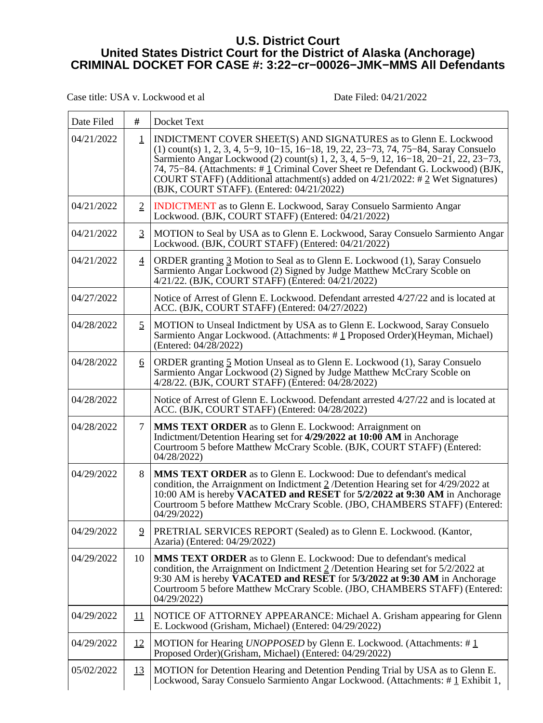## **U.S. District Court United States District Court for the District of Alaska (Anchorage) CRIMINAL DOCKET FOR CASE #: 3:22−cr−00026−JMK−MMS All Defendants**

Case title: USA v. Lockwood et al Date Filed: 04/21/2022

| Date Filed | #              | Docket Text                                                                                                                                                                                                                                                                                                                                                                                                                                                             |
|------------|----------------|-------------------------------------------------------------------------------------------------------------------------------------------------------------------------------------------------------------------------------------------------------------------------------------------------------------------------------------------------------------------------------------------------------------------------------------------------------------------------|
| 04/21/2022 | $\mathbf 1$    | INDICTMENT COVER SHEET(S) AND SIGNATURES as to Glenn E. Lockwood<br>$(1)$ count(s) 1, 2, 3, 4, 5–9, 10–15, 16–18, 19, 22, 23–73, 74, 75–84, Saray Consuelo<br>Sarmiento Angar Lockwood (2) count(s) 1, 2, 3, 4, 5–9, 12, 16–18, 20–21, 22, 23–73,<br>74, 75–84. (Attachments: #1 Criminal Cover Sheet re Defendant G. Lockwood) (BJK,<br>COURT STAFF) (Additional attachment(s) added on $4/21/2022$ : # 2 Wet Signatures)<br>(BJK, COURT STAFF). (Entered: 04/21/2022) |
| 04/21/2022 | $\overline{2}$ | <b>INDICTMENT</b> as to Glenn E. Lockwood, Saray Consuelo Sarmiento Angar<br>Lockwood. (BJK, COURT STAFF) (Entered: 04/21/2022)                                                                                                                                                                                                                                                                                                                                         |
| 04/21/2022 | $\overline{3}$ | MOTION to Seal by USA as to Glenn E. Lockwood, Saray Consuelo Sarmiento Angar<br>Lockwood. (BJK, COURT STAFF) (Entered: 04/21/2022)                                                                                                                                                                                                                                                                                                                                     |
| 04/21/2022 | $\overline{4}$ | ORDER granting 3 Motion to Seal as to Glenn E. Lockwood (1), Saray Consuelo<br>Sarmiento Angar Lockwood (2) Signed by Judge Matthew McCrary Scoble on<br>$4/21/22$ . (BJK, COURT STAFF) (Entered: 04/21/2022)                                                                                                                                                                                                                                                           |
| 04/27/2022 |                | Notice of Arrest of Glenn E. Lockwood. Defendant arrested 4/27/22 and is located at<br>ACC. (BJK, COURT STAFF) (Entered: 04/27/2022)                                                                                                                                                                                                                                                                                                                                    |
| 04/28/2022 | $\overline{2}$ | MOTION to Unseal Indictment by USA as to Glenn E. Lockwood, Saray Consuelo<br>Sarmiento Angar Lockwood. (Attachments: #1 Proposed Order)(Heyman, Michael)<br>(Entered: 04/28/2022)                                                                                                                                                                                                                                                                                      |
| 04/28/2022 | <u>6</u>       | ORDER granting 5 Motion Unseal as to Glenn E. Lockwood (1), Saray Consuelo<br>Sarmiento Angar Lockwood (2) Signed by Judge Matthew McCrary Scoble on<br>4/28/22. (BJK, COURT STAFF) (Entered: 04/28/2022)                                                                                                                                                                                                                                                               |
| 04/28/2022 |                | Notice of Arrest of Glenn E. Lockwood. Defendant arrested 4/27/22 and is located at<br>ACC. (BJK, COURT STAFF) (Entered: 04/28/2022)                                                                                                                                                                                                                                                                                                                                    |
| 04/28/2022 | 7              | <b>MMS TEXT ORDER</b> as to Glenn E. Lockwood: Arraignment on<br>Indictment/Detention Hearing set for 4/29/2022 at 10:00 AM in Anchorage<br>Courtroom 5 before Matthew McCrary Scoble. (BJK, COURT STAFF) (Entered:<br>04/28/2022)                                                                                                                                                                                                                                      |
| 04/29/2022 | 8              | <b>MMS TEXT ORDER</b> as to Glenn E. Lockwood: Due to defendant's medical<br>condition, the Arraignment on Indictment $2$ /Detention Hearing set for 4/29/2022 at<br>10:00 AM is hereby <b>VACATED and RESET</b> for 5/2/2022 at 9:30 AM in Anchorage<br>Courtroom 5 before Matthew McCrary Scoble. (JBO, CHAMBERS STAFF) (Entered:<br>04/29/2022)                                                                                                                      |
| 04/29/2022 | $\overline{2}$ | PRETRIAL SERVICES REPORT (Sealed) as to Glenn E. Lockwood. (Kantor,<br>Azaria) (Entered: 04/29/2022)                                                                                                                                                                                                                                                                                                                                                                    |
| 04/29/2022 | 10             | <b>MMS TEXT ORDER</b> as to Glenn E. Lockwood: Due to defendant's medical<br>condition, the Arraignment on Indictment $2$ /Detention Hearing set for $5/2/2022$ at<br>9:30 AM is hereby VACATED and RESET for 5/3/2022 at 9:30 AM in Anchorage<br>Courtroom 5 before Matthew McCrary Scoble. (JBO, CHAMBERS STAFF) (Entered:<br>04/29/2022)                                                                                                                             |
| 04/29/2022 | 11             | NOTICE OF ATTORNEY APPEARANCE: Michael A. Grisham appearing for Glenn<br>E. Lockwood (Grisham, Michael) (Entered: 04/29/2022)                                                                                                                                                                                                                                                                                                                                           |
| 04/29/2022 | 12             | MOTION for Hearing <i>UNOPPOSED</i> by Glenn E. Lockwood. (Attachments: $\#$ 1<br>Proposed Order)(Grisham, Michael) (Entered: 04/29/2022)                                                                                                                                                                                                                                                                                                                               |
| 05/02/2022 | <u>13</u>      | MOTION for Detention Hearing and Detention Pending Trial by USA as to Glenn E.<br>Lockwood, Saray Consuelo Sarmiento Angar Lockwood. (Attachments: #1 Exhibit 1,                                                                                                                                                                                                                                                                                                        |